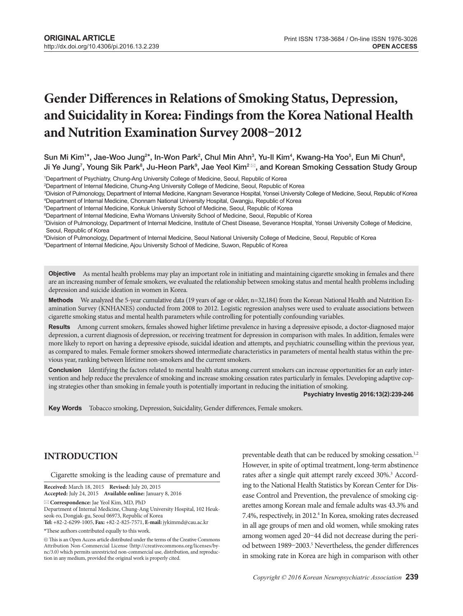# **Gender Differences in Relations of Smoking Status, Depression, and Suicidality in Korea: Findings from the Korea National Health and Nutrition Examination Survey 2008–2012**

 ${\sf Sun}$  Mi Kim $^{\sf 1*},$  Jae-Woo Jung $^{2*},$  In-Won Park $^2,$  Chul Min Ahn $^3,$  Yu-Il Kim $^4,$  Kwang-Ha Yoo $^5,$  Eun Mi Chun $^6,$ Ji Ye Jung<sup>7</sup>, Young Sik Park<sup>8</sup>, Ju-Heon Park<sup>9</sup>, Jae Yeol Kim<sup>2 ⊠</sup>, and Korean Smoking Cessation Study Group

1 Department of Psychiatry, Chung-Ang University College of Medicine, Seoul, Republic of Korea

2 Department of Internal Medicine, Chung-Ang University College of Medicine, Seoul, Republic of Korea

3 Division of Pulmonology, Department of Internal Medicine, Kangnam Severance Hospital, Yonsei University College of Medicine, Seoul, Republic of Korea 4 Department of Internal Medicine, Chonnam National University Hospital, Gwangju, Republic of Korea

5 Department of Internal Medicine, Konkuk University School of Medicine, Seoul, Republic of Korea

6 Department of Internal Medicine, Ewha Womans University School of Medicine, Seoul, Republic of Korea

7 Division of Pulmonology, Department of Internal Medicine, Institute of Chest Disease, Severance Hospital, Yonsei University College of Medicine, Seoul, Republic of Korea

8 Division of Pulmonology, Department of Internal Medicine, Seoul National University College of Medicine, Seoul, Republic of Korea

9 Department of Internal Medicine, Ajou University School of Medicine, Suwon, Republic of Korea

**Objective** As mental health problems may play an important role in initiating and maintaining cigarette smoking in females and there are an increasing number of female smokers, we evaluated the relationship between smoking status and mental health problems including depression and suicide ideation in women in Korea.

Methods We analyzed the 5-year cumulative data (19 years of age or older, n=32,184) from the Korean National Health and Nutrition Examination Survey (KNHANES) conducted from 2008 to 2012. Logistic regression analyses were used to evaluate associations between cigarette smoking status and mental health parameters while controlling for potentially confounding variables.

Results Among current smokers, females showed higher lifetime prevalence in having a depressive episode, a doctor-diagnosed major depression, a current diagnosis of depression, or receiving treatment for depression in comparison with males. In addition, females were more likely to report on having a depressive episode, suicidal ideation and attempts, and psychiatric counselling within the previous year, as compared to males. Female former smokers showed intermediate characteristics in parameters of mental health status within the previous year, ranking between lifetime non-smokers and the current smokers.

**Conclusion** Identifying the factors related to mental health status among current smokers can increase opportunities for an early intervention and help reduce the prevalence of smoking and increase smoking cessation rates particularly in females. Developing adaptive coping strategies other than smoking in female youth is potentially important in reducing the initiation of smoking.

**Psychiatry Investig 2016;13(2):239-246**

Key Words Tobacco smoking, Depression, Suicidality, Gender differences, Female smokers.

# **INTRODUCTION**

Cigarette smoking is the leading cause of premature and

**Received:** March 18, 2015 **Revised:** July 20, 2015 **Accepted:** July 24, 2015 **Available online:** January 8, 2016

**Correspondence:** Jae Yeol Kim, MD, PhD

Department of Internal Medicine, Chung-Ang University Hospital, 102 Heukseok-ro, Dongjak-gu, Seoul 06973, Republic of Korea

**Tel:** +82-2-6299-1005, **Fax:** +82-2-825-7571, **E-mail:** jykimmd@cau.ac.kr

\*These authors contributed equally to this work.

 $@$  This is an Open Access article distributed under the terms of the Creative Commons Attribution Non-Commercial License (http://creativecommons.org/licenses/bync/3.0) which permits unrestricted non-commercial use, distribution, and reproduction in any medium, provided the original work is properly cited.

preventable death that can be reduced by smoking cessation.<sup>1,2</sup> However, in spite of optimal treatment, long-term abstinence rates after a single quit attempt rarely exceed 30%.<sup>3</sup> According to the National Health Statistics by Korean Center for Disease Control and Prevention, the prevalence of smoking cigarettes among Korean male and female adults was 43.3% and 7.4%, respectively, in 2012.<sup>4</sup> In Korea, smoking rates decreased in all age groups of men and old women, while smoking rates among women aged 20–44 did not decrease during the period between 1989-2003.<sup>5</sup> Nevertheless, the gender differences in smoking rate in Korea are high in comparison with other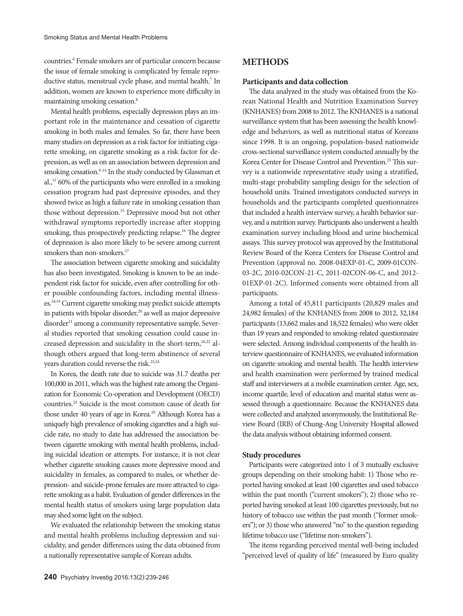countries.<sup>6</sup> Female smokers are of particular concern because the issue of female smoking is complicated by female reproductive status, menstrual cycle phase, and mental health.<sup>7</sup> In addition, women are known to experience more difficulty in maintaining smoking cessation.8

Mental health problems, especially depression plays an important role in the maintenance and cessation of cigarette smoking in both males and females. So far, there have been many studies on depression as a risk factor for initiating cigarette smoking, on cigarette smoking as a risk factor for depression, as well as on an association between depression and smoking cessation.<sup>9-14</sup> In the study conducted by Glassman et al.,15 60% of the participants who were enrolled in a smoking cessation program had past depressive episodes, and they showed twice as high a failure rate in smoking cessation than those without depression.<sup>15</sup> Depressive mood but not other withdrawal symptoms reportedly increase after stopping smoking, thus prospectively predicting relapse.<sup>16</sup> The degree of depression is also more likely to be severe among current smokers than non-smokers.<sup>17</sup>

The association between cigarette smoking and suicidality has also been investigated. Smoking is known to be an independent risk factor for suicide, even after controlling for other possible confounding factors, including mental illnesses.18,19 Current cigarette smoking may predict suicide attempts in patients with bipolar disorder, $20$  as well as major depressive disorder<sup>21</sup> among a community representative sample. Several studies reported that smoking cessation could cause increased depression and suicidality in the short-term,<sup>16,22</sup> although others argued that long-term abstinence of several years duration could reverse the risk.<sup>23,24</sup>

In Korea, the death rate due to suicide was 31.7 deaths per 100,000 in 2011, which was the highest rate among the Organization for Economic Co-operation and Development (OECD) countries.25 Suicide is the most common cause of death for those under 40 years of age in Korea.<sup>10</sup> Although Korea has a uniquely high prevalence of smoking cigarettes and a high suicide rate, no study to date has addressed the association between cigarette smoking with mental health problems, including suicidal ideation or attempts. For instance, it is not clear whether cigarette smoking causes more depressive mood and suicidality in females, as compared to males, or whether depression- and suicide-prone females are more attracted to cigarette smoking as a habit. Evaluation of gender differences in the mental health status of smokers using large population data may shed some light on the subject.

We evaluated the relationship between the smoking status and mental health problems including depression and suicidality, and gender differences using the data obtained from a nationally representative sample of Korean adults.

## **Participants and data collection**

The data analyzed in the study was obtained from the Korean National Health and Nutrition Examination Survey (KNHANES) from 2008 to 2012. The KNHANES is a national surveillance system that has been assessing the health knowledge and behaviors, as well as nutritional status of Koreans since 1998. It is an ongoing, population-based nationwide cross-sectional surveillance system conducted annually by the Korea Center for Disease Control and Prevention.<sup>25</sup> This survey is a nationwide representative study using a stratified, multi-stage probability sampling design for the selection of household units. Trained investigators conducted surveys in households and the participants completed questionnaires that included a health interview survey, a health behavior survey, and a nutrition survey. Participants also underwent a health examination survey including blood and urine biochemical assays. This survey protocol was approved by the Institutional Review Board of the Korea Centers for Disease Control and Prevention (approval no. 2008-04EXP-01-C, 2009-01CON-03-2C, 2010-02CON-21-C, 2011-02CON-06-C, and 2012- 01EXP-01-2C). Informed consents were obtained from all participants.

Among a total of 45,811 participants (20,829 males and 24,982 females) of the KNHANES from 2008 to 2012, 32,184 participants (13,662 males and 18,522 females) who were older than 19 years and responded to smoking-related questionnaire were selected. Among individual components of the health interview questionnaire of KNHANES, we evaluated information on cigarette smoking and mental health. The health interview and health examination were performed by trained medical staff and interviewers at a mobile examination center. Age, sex, income quartile, level of education and marital status were assessed through a questionnaire. Because the KNHANES data were collected and analyzed anonymously, the Institutional Review Board (IRB) of Chung-Ang University Hospital allowed the data analysis without obtaining informed consent.

## **Study procedures**

Participants were categorized into 1 of 3 mutually exclusive groups depending on their smoking habit: 1) Those who reported having smoked at least 100 cigarettes and used tobacco within the past month ("current smokers"); 2) those who reported having smoked at least 100 cigarettes previously, but no history of tobacco use within the past month ("former smokers"); or 3) those who answered "no" to the question regarding lifetime tobacco use ("lifetime non-smokers").

The items regarding perceived mental well-being included "perceived level of quality of life" (measured by Euro quality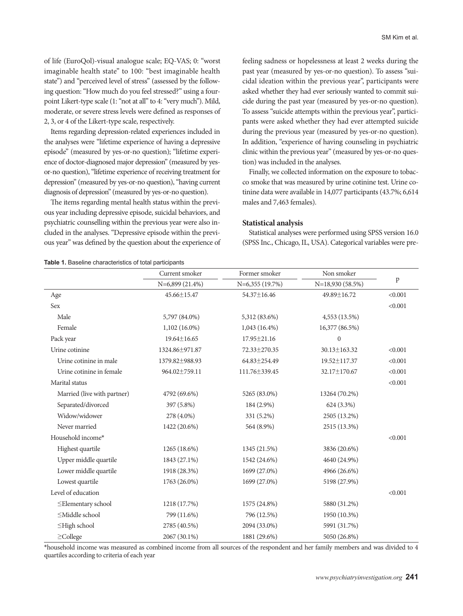of life (EuroQol)-visual analogue scale; EQ-VAS; 0: "worst imaginable health state" to 100: "best imaginable health state") and "perceived level of stress" (assessed by the following question: "How much do you feel stressed?" using a fourpoint Likert-type scale (1: "not at all" to 4: "very much"). Mild, moderate, or severe stress levels were defined as responses of 2, 3, or 4 of the Likert-type scale, respectively.

Items regarding depression-related experiences included in the analyses were "lifetime experience of having a depressive episode" (measured by yes-or-no question); "lifetime experience of doctor-diagnosed major depression" (measured by yesor-no question), "lifetime experience of receiving treatment for depression" (measured by yes-or-no question), "having current diagnosis of depression" (measured by yes-or-no question).

The items regarding mental health status within the previous year including depressive episode, suicidal behaviors, and psychiatric counselling within the previous year were also included in the analyses. "Depressive episode within the previous year" was defined by the question about the experience of feeling sadness or hopelessness at least 2 weeks during the past year (measured by yes-or-no question). To assess "suicidal ideation within the previous year", participants were asked whether they had ever seriously wanted to commit suicide during the past year (measured by yes-or-no question). To assess "suicide attempts within the previous year", participants were asked whether they had ever attempted suicide during the previous year (measured by yes-or-no question). In addition, "experience of having counseling in psychiatric clinic within the previous year" (measured by yes-or-no question) was included in the analyses.

Finally, we collected information on the exposure to tobacco smoke that was measured by urine cotinine test. Urine cotinine data were available in 14,077 participants (43.7%; 6,614 males and 7,463 females).

## **Statistical analysis**

Statistical analyses were performed using SPSS version 16.0 (SPSS Inc., Chicago, IL, USA). Categorical variables were pre-

**Table 1.** Baseline characteristics of total participants

|                             | Current smoker    | Former smoker   | Non smoker       |              |
|-----------------------------|-------------------|-----------------|------------------|--------------|
|                             | N=6,899 (21.4%)   | N=6,355 (19.7%) | N=18,930 (58.5%) | $\, {\bf p}$ |
| Age                         | 45.66±15.47       | 54.37±16.46     | 49.89±16.72      | < 0.001      |
| Sex                         |                   |                 |                  | < 0.001      |
| Male                        | 5,797 (84.0%)     | 5,312 (83.6%)   | 4,553 (13.5%)    |              |
| Female                      | $1,102(16.0\%)$   | $1,043(16.4\%)$ | 16,377 (86.5%)   |              |
| Pack year                   | $19.64 \pm 16.65$ | 17.95 ± 21.16   | $\mathbf{0}$     |              |
| Urine cotinine              | 1324.86±971.87    | 72.33±270.35    | 30.13±163.32     | < 0.001      |
| Urine cotinine in male      | 1379.82±988.93    | 64.83±254.49    | 19.52±117.37     | < 0.001      |
| Urine cotinine in female    | 964.02±759.11     | 111.76±339.45   | 32.17±170.67     | < 0.001      |
| Marital status              |                   |                 |                  | < 0.001      |
| Married (live with partner) | 4792 (69.6%)      | 5265 (83.0%)    | 13264 (70.2%)    |              |
| Separated/divorced          | 397 (5.8%)        | 184 (2.9%)      | 624 (3.3%)       |              |
| Widow/widower               | 278 (4.0%)        | 331 (5.2%)      | 2505 (13.2%)     |              |
| Never married               | 1422 (20.6%)      | 564 (8.9%)      | 2515 (13.3%)     |              |
| Household income*           |                   |                 |                  | < 0.001      |
| Highest quartile            | 1265 (18.6%)      | 1345 (21.5%)    | 3836 (20.6%)     |              |
| Upper middle quartile       | 1843 (27.1%)      | 1542 (24.6%)    | 4640 (24.9%)     |              |
| Lower middle quartile       | 1918 (28.3%)      | 1699 (27.0%)    | 4966 (26.6%)     |              |
| Lowest quartile             | 1763 (26.0%)      | 1699 (27.0%)    | 5198 (27.9%)     |              |
| Level of education          |                   |                 |                  | < 0.001      |
| ≤Elementary school          | 1218 (17.7%)      | 1575 (24.8%)    | 5880 (31.2%)     |              |
| $\leq$ Middle school        | 799 (11.6%)       | 796 (12.5%)     | 1950 (10.3%)     |              |
| ≤High school                | 2785 (40.5%)      | 2094 (33.0%)    | 5991 (31.7%)     |              |
| $\geq$ College              | 2067 (30.1%)      | 1881 (29.6%)    | 5050 (26.8%)     |              |

\*household income was measured as combined income from all sources of the respondent and her family members and was divided to 4 quartiles according to criteria of each year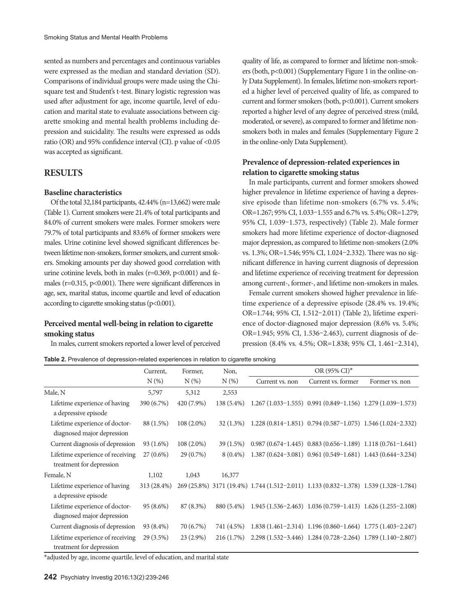sented as numbers and percentages and continuous variables were expressed as the median and standard deviation (SD). Comparisons of individual groups were made using the Chisquare test and Student's t-test. Binary logistic regression was used after adjustment for age, income quartile, level of education and marital state to evaluate associations between cigarette smoking and mental health problems including depression and suicidality. The results were expressed as odds ratio (OR) and 95% confidence interval (CI). p value of <0.05 was accepted as significant.

## **RESULTS**

## **Baseline characteristics**

Of the total 32,184 participants, 42.44% (n=13,662) were male (Table 1). Current smokers were 21.4% of total participants and 84.0% of current smokers were males. Former smokers were 79.7% of total participants and 83.6% of former smokers were males. Urine cotinine level showed significant differences between lifetime non-smokers, former smokers, and current smokers. Smoking amounts per day showed good correlation with urine cotinine levels, both in males  $(r=0.369, p<0.001)$  and females ( $r=0.315$ ,  $p<0.001$ ). There were significant differences in age, sex, marital status, income quartile and level of education according to cigarette smoking status (p<0.001).

## **Perceived mental well-being in relation to cigarette smoking status**

In males, current smokers reported a lower level of perceived

quality of life, as compared to former and lifetime non-smokers (both, p<0.001) (Supplementary Figure 1 in the online-only Data Supplement). In females, lifetime non-smokers reported a higher level of perceived quality of life, as compared to current and former smokers (both, p<0.001). Current smokers reported a higher level of any degree of perceived stress (mild, moderated, or severe), as compared to former and lifetime nonsmokers both in males and females (Supplementary Figure 2 in the online-only Data Supplement).

## **Prevalence of depression-related experiences in relation to cigarette smoking status**

In male participants, current and former smokers showed higher prevalence in lifetime experience of having a depressive episode than lifetime non-smokers (6.7% vs. 5.4%; OR=1.267; 95% CI, 1.033–1.555 and 6.7% vs. 5.4%; OR=1.279; 95% CI, 1.039–1.573, respectively) (Table 2). Male former smokers had more lifetime experience of doctor-diagnosed major depression, as compared to lifetime non-smokers (2.0% vs. 1.3%; OR=1.546; 95% CI, 1.024–2.332). There was no significant difference in having current diagnosis of depression and lifetime experience of receiving treatment for depression among current-, former-, and lifetime non-smokers in males.

Female current smokers showed higher prevalence in lifetime experience of a depressive episode (28.4% vs. 19.4%; OR=1.744; 95% CI, 1.512–2.011) (Table 2), lifetime experience of doctor-diagnosed major depression (8.6% vs. 5.4%; OR=1.945; 95% CI, 1.536–2.463), current diagnosis of depression (8.4% vs. 4.5%; OR=1.838; 95% CI, 1.461–2.314),

**Table 2.** Prevalence of depression-related experiences in relation to cigarette smoking

|                                                              | Current,    | Former,      | Non,        | OR (95% CI)*    |                                                                                      |                |
|--------------------------------------------------------------|-------------|--------------|-------------|-----------------|--------------------------------------------------------------------------------------|----------------|
|                                                              | $N(\%)$     | $N(\%)$      | $N(\%)$     | Current vs. non | Current vs. former                                                                   | Former vs. non |
| Male, N                                                      | 5,797       | 5,312        | 2,553       |                 |                                                                                      |                |
| Lifetime experience of having<br>a depressive episode        | 390 (6.7%)  | 420 (7.9%)   | 138 (5.4%)  |                 | $1.267(1.033-1.555)$ 0.991 $(0.849-1.156)$ 1.279 $(1.039-1.573)$                     |                |
| Lifetime experience of doctor-<br>diagnosed major depression | 88 (1.5%)   | $108(2.0\%)$ | 32 (1.3%)   |                 | $1.228(0.814-1.851)$ 0.794 $(0.587-1.075)$ 1.546 $(1.024-2.332)$                     |                |
| Current diagnosis of depression                              | 93 (1.6%)   | $108(2.0\%)$ | $39(1.5\%)$ |                 | $0.987(0.674-1.445)$ $0.883(0.656-1.189)$ $1.118(0.761-1.641)$                       |                |
| Lifetime experience of receiving<br>treatment for depression | $27(0.6\%)$ | $29(0.7\%)$  | $8(0.4\%)$  |                 | $1.387(0.624-3.081)$ $0.961(0.549-1.681)$ $1.443(0.644-3.234)$                       |                |
| Female, N                                                    | 1,102       | 1,043        | 16,377      |                 |                                                                                      |                |
| Lifetime experience of having<br>a depressive episode        | 313 (28.4%) |              |             |                 | 269 (25.8%) 3171 (19.4%) 1.744 (1.512-2.011) 1.133 (0.832-1.378) 1.539 (1.328-1.784) |                |
| Lifetime experience of doctor-<br>diagnosed major depression | $95(8.6\%)$ | 87 (8.3%)    | 880 (5.4%)  |                 | $1.945(1.536-2.463)$ $1.036(0.759-1.413)$ $1.626(1.255-2.108)$                       |                |
| Current diagnosis of depression                              | 93 (8.4%)   | 70 (6.7%)    | 741 (4.5%)  |                 | $1.838(1.461-2.314)$ $1.196(0.860-1.664)$ $1.775(1.403-2.247)$                       |                |
| Lifetime experience of receiving<br>treatment for depression | $29(3.5\%)$ | $23(2.9\%)$  | 216 (1.7%)  |                 | 2.298 (1.532-3.446) 1.284 (0.728-2.264) 1.789 (1.140-2.807)                          |                |

\*adjusted by age, income quartile, level of education, and marital state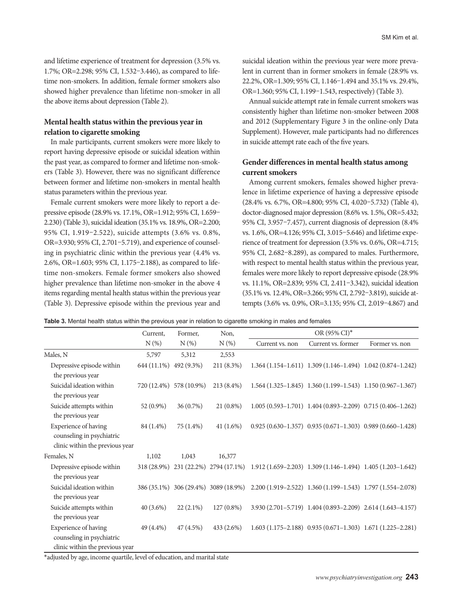and lifetime experience of treatment for depression (3.5% vs. 1.7%; OR=2.298; 95% CI, 1.532–3.446), as compared to lifetime non-smokers. In addition, female former smokers also showed higher prevalence than lifetime non-smoker in all the above items about depression (Table 2).

# **Mental health status within the previous year in relation to cigarette smoking**

In male participants, current smokers were more likely to report having depressive episode or suicidal ideation within the past year, as compared to former and lifetime non-smokers (Table 3). However, there was no significant difference between former and lifetime non-smokers in mental health status parameters within the previous year.

Female current smokers were more likely to report a depressive episode (28.9% vs. 17.1%, OR=1.912; 95% CI, 1.659– 2.230) (Table 3), suicidal ideation (35.1% vs. 18.9%, OR=2.200; 95% CI, 1.919–2.522), suicide attempts (3.6% vs. 0.8%, OR=3.930; 95% CI, 2.701–5.719), and experience of counseling in psychiatric clinic within the previous year (4.4% vs. 2.6%, OR=1.603; 95% CI, 1.175–2.188), as compared to lifetime non-smokers. Female former smokers also showed higher prevalence than lifetime non-smoker in the above 4 items regarding mental health status within the previous year (Table 3). Depressive episode within the previous year and suicidal ideation within the previous year were more prevalent in current than in former smokers in female (28.9% vs. 22.2%, OR=1.309; 95% CI, 1.146–1.494 and 35.1% vs. 29.4%, OR=1.360; 95% CI, 1.199–1.543, respectively) (Table 3).

Annual suicide attempt rate in female current smokers was consistently higher than lifetime non-smoker between 2008 and 2012 (Supplementary Figure 3 in the online-only Data Supplement). However, male participants had no differences in suicide attempt rate each of the five years.

# **Gender differences in mental health status among current smokers**

Among current smokers, females showed higher prevalence in lifetime experience of having a depressive episode (28.4% vs. 6.7%, OR=4.800; 95% CI, 4.020–5.732) (Table 4), doctor-diagnosed major depression (8.6% vs. 1.5%, OR=5.432; 95% CI, 3.957–7.457), current diagnosis of depression (8.4% vs. 1.6%, OR=4.126; 95% CI, 3.015–5.646) and lifetime experience of treatment for depression (3.5% vs. 0.6%, OR=4.715; 95% CI, 2.682–8.289), as compared to males. Furthermore, with respect to mental health status within the previous year, females were more likely to report depressive episode (28.9% vs. 11.1%, OR=2.839; 95% CI, 2.411–3.342), suicidal ideation (35.1% vs. 12.4%, OR=3.266; 95% CI, 2.792–3.819), suicide attempts (3.6% vs. 0.9%, OR=3.135; 95% CI, 2.019–4.867) and

**Table 3.** Mental health status within the previous year in relation to cigarette smoking in males and females

|                                                                                      | Current.               | Non,<br>Former,         |                                      | OR (95% CI)*                                                                                     |                                                                         |                |
|--------------------------------------------------------------------------------------|------------------------|-------------------------|--------------------------------------|--------------------------------------------------------------------------------------------------|-------------------------------------------------------------------------|----------------|
|                                                                                      | $N(\%)$                | $N(\%)$                 | $N(\%)$                              | Current vs. non                                                                                  | Current vs. former                                                      | Former vs. non |
| Males, N                                                                             | 5,797                  | 5,312                   | 2,553                                |                                                                                                  |                                                                         |                |
| Depressive episode within<br>the previous year                                       | 644 (11.1%) 492 (9.3%) |                         | 211 (8.3%)                           |                                                                                                  | $1.364(1.154-1.611)$ $1.309(1.146-1.494)$ $1.042(0.874-1.242)$          |                |
| Suicidal ideation within<br>the previous year                                        |                        | 720 (12.4%) 578 (10.9%) | 213 (8.4%)                           |                                                                                                  | $1.564$ $(1.325-1.845)$ $1.360$ $(1.199-1.543)$ $1.150$ $(0.967-1.367)$ |                |
| Suicide attempts within<br>the previous year                                         | 52 (0.9%)              | $36(0.7\%)$             | $21(0.8\%)$                          |                                                                                                  | $1.005(0.593-1.701)$ $1.404(0.893-2.209)$ $0.715(0.406-1.262)$          |                |
| Experience of having<br>counseling in psychiatric<br>clinic within the previous year | 84 (1.4%)              | 75 (1.4%)               | $41(1.6\%)$                          |                                                                                                  | $0.925 (0.630 - 1.357) 0.935 (0.671 - 1.303) 0.989 (0.660 - 1.428)$     |                |
| Females, N                                                                           | 1,102                  | 1,043                   | 16,377                               |                                                                                                  |                                                                         |                |
| Depressive episode within<br>the previous year                                       |                        |                         |                                      | 318 (28.9%) 231 (22.2%) 2794 (17.1%) 1.912 (1.659-2.203) 1.309 (1.146-1.494) 1.405 (1.203-1.642) |                                                                         |                |
| Suicidal ideation within<br>the previous year                                        |                        |                         | 386 (35.1%) 306 (29.4%) 3089 (18.9%) |                                                                                                  | 2.200 (1.919-2.522) 1.360 (1.199-1.543) 1.797 (1.554-2.078)             |                |
| Suicide attempts within<br>the previous year                                         | $40(3.6\%)$            | $22(2.1\%)$             | $127(0.8\%)$                         |                                                                                                  | 3.930 (2.701-5.719) 1.404 (0.893-2.209) 2.614 (1.643-4.157)             |                |
| Experience of having<br>counseling in psychiatric<br>clinic within the previous year | 49 (4.4%)              | 47(4.5%)                | 433 (2.6%)                           |                                                                                                  | $1.603(1.175-2.188)$ 0.935 $(0.671-1.303)$ 1.671 $(1.225-2.281)$        |                |

\*adjusted by age, income quartile, level of education, and marital state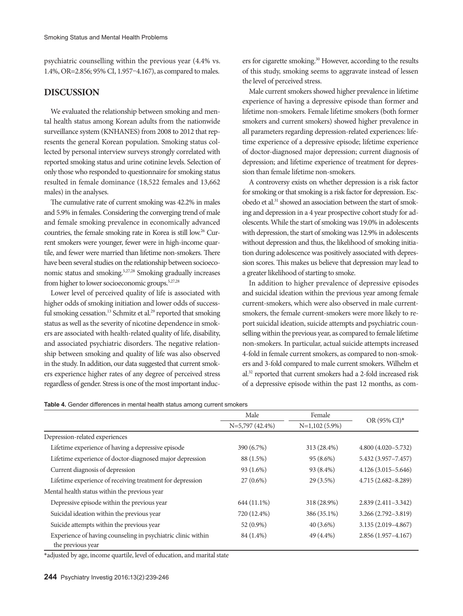psychiatric counselling within the previous year (4.4% vs. 1.4%, OR=2.856; 95% CI, 1.957–4.167), as compared to males.

# **DISCUSSION**

We evaluated the relationship between smoking and mental health status among Korean adults from the nationwide surveillance system (KNHANES) from 2008 to 2012 that represents the general Korean population. Smoking status collected by personal interview surveys strongly correlated with reported smoking status and urine cotinine levels. Selection of only those who responded to questionnaire for smoking status resulted in female dominance (18,522 females and 13,662 males) in the analyses.

The cumulative rate of current smoking was 42.2% in males and 5.9% in females. Considering the converging trend of male and female smoking prevalence in economically advanced countries, the female smoking rate in Korea is still low.26 Current smokers were younger, fewer were in high-income quartile, and fewer were married than lifetime non-smokers. There have been several studies on the relationship between socioeconomic status and smoking.5,27,28 Smoking gradually increases from higher to lower socioeconomic groups.<sup>5,27,28</sup>

Lower level of perceived quality of life is associated with higher odds of smoking initiation and lower odds of successful smoking cessation.<sup>13</sup> Schmitz et al.<sup>29</sup> reported that smoking status as well as the severity of nicotine dependence in smokers are associated with health-related quality of life, disability, and associated psychiatric disorders. The negative relationship between smoking and quality of life was also observed in the study. In addition, our data suggested that current smokers experience higher rates of any degree of perceived stress regardless of gender. Stress is one of the most important inducers for cigarette smoking.30 However, according to the results of this study, smoking seems to aggravate instead of lessen the level of perceived stress.

Male current smokers showed higher prevalence in lifetime experience of having a depressive episode than former and lifetime non-smokers. Female lifetime smokers (both former smokers and current smokers) showed higher prevalence in all parameters regarding depression-related experiences: lifetime experience of a depressive episode; lifetime experience of doctor-diagnosed major depression; current diagnosis of depression; and lifetime experience of treatment for depression than female lifetime non-smokers.

A controversy exists on whether depression is a risk factor for smoking or that smoking is a risk factor for depression. Escobedo et al.<sup>31</sup> showed an association between the start of smoking and depression in a 4 year prospective cohort study for adolescents. While the start of smoking was 19.0% in adolescents with depression, the start of smoking was 12.9% in adolescents without depression and thus, the likelihood of smoking initiation during adolescence was positively associated with depression scores. This makes us believe that depression may lead to a greater likelihood of starting to smoke.

In addition to higher prevalence of depressive episodes and suicidal ideation within the previous year among female current-smokers, which were also observed in male currentsmokers, the female current-smokers were more likely to report suicidal ideation, suicide attempts and psychiatric counselling within the previous year, as compared to female lifetime non-smokers. In particular, actual suicide attempts increased 4-fold in female current smokers, as compared to non-smokers and 3-fold compared to male current smokers. Wilhelm et al.32 reported that current smokers had a 2-fold increased risk of a depressive episode within the past 12 months, as com-

**Table 4.** Gender differences in mental health status among current smokers

|                                                                                   | Male              | Female           |                        |  |
|-----------------------------------------------------------------------------------|-------------------|------------------|------------------------|--|
|                                                                                   | $N=5,797(42.4\%)$ | $N=1,102(5.9\%)$ | $OR (95\% CI)^*$       |  |
| Depression-related experiences                                                    |                   |                  |                        |  |
| Lifetime experience of having a depressive episode                                | 390 (6.7%)        | 313 (28.4%)      | $4.800(4.020 - 5.732)$ |  |
| Lifetime experience of doctor-diagnosed major depression                          | 88 (1.5%)         | 95 (8.6%)        | 5.432 (3.957-7.457)    |  |
| Current diagnosis of depression                                                   | $93(1.6\%)$       | 93 (8.4%)        | $4.126(3.015 - 5.646)$ |  |
| Lifetime experience of receiving treatment for depression                         | $27(0.6\%)$       | 29 (3.5%)        | 4.715 (2.682-8.289)    |  |
| Mental health status within the previous year                                     |                   |                  |                        |  |
| Depressive episode within the previous year                                       | 644 (11.1%)       | 318 (28.9%)      | $2.839(2.411 - 3.342)$ |  |
| Suicidal ideation within the previous year                                        | 720 (12.4%)       | 386 (35.1%)      | $3.266(2.792 - 3.819)$ |  |
| Suicide attempts within the previous year                                         | 52 (0.9%)         | $40(3.6\%)$      | $3.135(2.019 - 4.867)$ |  |
| Experience of having counseling in psychiatric clinic within<br>the previous year | 84 (1.4%)         | 49 (4.4%)        | $2.856(1.957-4.167)$   |  |

\*adjusted by age, income quartile, level of education, and marital state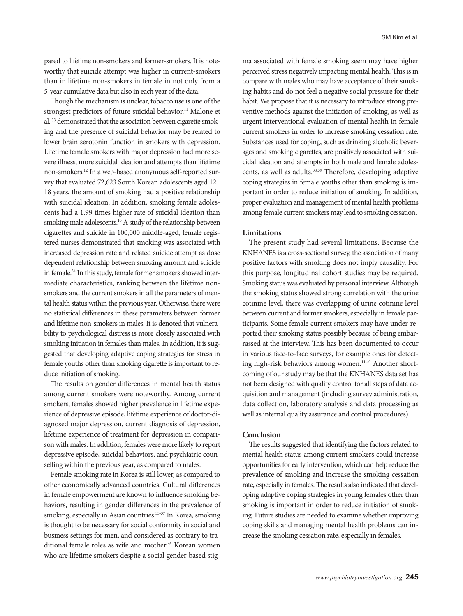pared to lifetime non-smokers and former-smokers. It is noteworthy that suicide attempt was higher in current-smokers than in lifetime non-smokers in female in not only from a 5-year cumulative data but also in each year of the data.

Though the mechanism is unclear, tobacco use is one of the strongest predictors of future suicidal behavior.<sup>11</sup> Malone et al. 33 demonstrated that the association between cigarette smoking and the presence of suicidal behavior may be related to lower brain serotonin function in smokers with depression. Lifetime female smokers with major depression had more severe illness, more suicidal ideation and attempts than lifetime non-smokers.12 In a web-based anonymous self-reported survey that evaluated 72,623 South Korean adolescents aged 12– 18 years, the amount of smoking had a positive relationship with suicidal ideation. In addition, smoking female adolescents had a 1.99 times higher rate of suicidal ideation than smoking male adolescents.<sup>10</sup> A study of the relationship between cigarettes and suicide in 100,000 middle-aged, female registered nurses demonstrated that smoking was associated with increased depression rate and related suicide attempt as dose dependent relationship between smoking amount and suicide in female.<sup>34</sup> In this study, female former smokers showed intermediate characteristics, ranking between the lifetime nonsmokers and the current smokers in all the parameters of mental health status within the previous year. Otherwise, there were no statistical differences in these parameters between former and lifetime non-smokers in males. It is denoted that vulnerability to psychological distress is more closely associated with smoking initiation in females than males. In addition, it is suggested that developing adaptive coping strategies for stress in female youths other than smoking cigarette is important to reduce initiation of smoking.

The results on gender differences in mental health status among current smokers were noteworthy. Among current smokers, females showed higher prevalence in lifetime experience of depressive episode, lifetime experience of doctor-diagnosed major depression, current diagnosis of depression, lifetime experience of treatment for depression in comparison with males. In addition, females were more likely to report depressive episode, suicidal behaviors, and psychiatric counselling within the previous year, as compared to males.

Female smoking rate in Korea is still lower, as compared to other economically advanced countries. Cultural differences in female empowerment are known to influence smoking behaviors, resulting in gender differences in the prevalence of smoking, especially in Asian countries.<sup>35-37</sup> In Korea, smoking is thought to be necessary for social conformity in social and business settings for men, and considered as contrary to traditional female roles as wife and mother.<sup>36</sup> Korean women who are lifetime smokers despite a social gender-based stigma associated with female smoking seem may have higher perceived stress negatively impacting mental health. This is in compare with males who may have acceptance of their smoking habits and do not feel a negative social pressure for their habit. We propose that it is necessary to introduce strong preventive methods against the initiation of smoking, as well as urgent interventional evaluation of mental health in female current smokers in order to increase smoking cessation rate. Substances used for coping, such as drinking alcoholic beverages and smoking cigarettes, are positively associated with suicidal ideation and attempts in both male and female adolescents, as well as adults.<sup>38,39</sup> Therefore, developing adaptive coping strategies in female youths other than smoking is important in order to reduce initiation of smoking. In addition, proper evaluation and management of mental health problems among female current smokers may lead to smoking cessation.

## **Limitations**

The present study had several limitations. Because the KNHANES is a cross-sectional survey, the association of many positive factors with smoking does not imply causality. For this purpose, longitudinal cohort studies may be required. Smoking status was evaluated by personal interview. Although the smoking status showed strong correlation with the urine cotinine level, there was overlapping of urine cotinine level between current and former smokers, especially in female participants. Some female current smokers may have under-reported their smoking status possibly because of being embarrassed at the interview. This has been documented to occur in various face-to-face surveys, for example ones for detecting high-risk behaviors among women.<sup>11,40</sup> Another shortcoming of our study may be that the KNHANES data set has not been designed with quality control for all steps of data acquisition and management (including survey administration, data collection, laboratory analysis and data processing as well as internal quality assurance and control procedures).

#### **Conclusion**

The results suggested that identifying the factors related to mental health status among current smokers could increase opportunities for early intervention, which can help reduce the prevalence of smoking and increase the smoking cessation rate, especially in females. The results also indicated that developing adaptive coping strategies in young females other than smoking is important in order to reduce initiation of smoking. Future studies are needed to examine whether improving coping skills and managing mental health problems can increase the smoking cessation rate, especially in females.